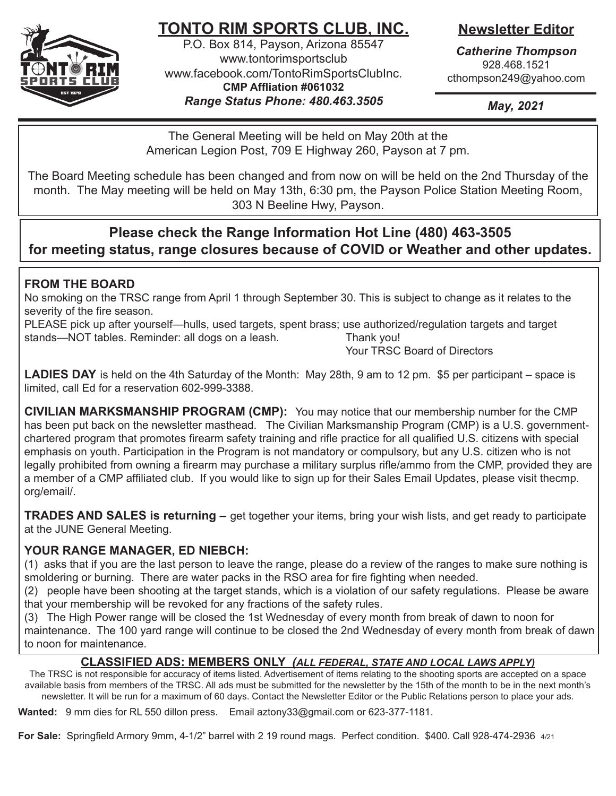

# **TONTO RIM SPORTS CLUB, INC.**

P.O. Box 814, Payson, Arizona 85547 www.tontorimsportsclub www.facebook.com/TontoRimSportsClubInc. **CMP Affliation #061032** *Range Status Phone: 480.463.3505*

## **Newsletter Editor**

*Catherine Thompson* 928.468.1521 cthompson249@yahoo.com

*May, 2021*

The General Meeting will be held on May 20th at the American Legion Post, 709 E Highway 260, Payson at 7 pm.

The Board Meeting schedule has been changed and from now on will be held on the 2nd Thursday of the month. The May meeting will be held on May 13th, 6:30 pm, the Payson Police Station Meeting Room, 303 N Beeline Hwy, Payson.

## **Please check the Range Information Hot Line (480) 463-3505 for meeting status, range closures because of COVID or Weather and other updates.**

### **FROM THE BOARD**

No smoking on the TRSC range from April 1 through September 30. This is subject to change as it relates to the severity of the fire season.

PLEASE pick up after yourself—hulls, used targets, spent brass; use authorized/regulation targets and target stands—NOT tables. Reminder: all dogs on a leash. Thank you!

Your TRSC Board of Directors

**LADIES DAY** is held on the 4th Saturday of the Month: May 28th, 9 am to 12 pm. \$5 per participant – space is limited, call Ed for a reservation 602-999-3388.

**CIVILIAN MARKSMANSHIP PROGRAM (CMP):** You may notice that our membership number for the CMP has been put back on the newsletter masthead. The Civilian Marksmanship Program (CMP) is a U.S. governmentchartered program that promotes firearm safety training and rifle practice for all qualified U.S. citizens with special emphasis on youth. Participation in the Program is not mandatory or compulsory, but any U.S. citizen who is not legally prohibited from owning a firearm may purchase a military surplus rifle/ammo from the CMP, provided they are a member of a CMP affiliated club. If you would like to sign up for their Sales Email Updates, please visit thecmp. org/email/.

**TRADES AND SALES is returning –** get together your items, bring your wish lists, and get ready to participate at the JUNE General Meeting.

#### **YOUR RANGE MANAGER, ED NIEBCH:**

(1) asks that if you are the last person to leave the range, please do a review of the ranges to make sure nothing is smoldering or burning. There are water packs in the RSO area for fire fighting when needed.

(2) people have been shooting at the target stands, which is a violation of our safety regulations. Please be aware that your membership will be revoked for any fractions of the safety rules.

(3) The High Power range will be closed the 1st Wednesday of every month from break of dawn to noon for maintenance. The 100 yard range will continue to be closed the 2nd Wednesday of every month from break of dawn to noon for maintenance.

#### **CLASSIFIED ADS: MEMBERS ONLY** *(ALL FEDERAL, STATE AND LOCAL LAWS APPLY)*

The TRSC is not responsible for accuracy of items listed. Advertisement of items relating to the shooting sports are accepted on a space available basis from members of the TRSC. All ads must be submitted for the newsletter by the 15th of the month to be in the next month's newsletter. It will be run for a maximum of 60 days. Contact the Newsletter Editor or the Public Relations person to place your ads.

**Wanted:** 9 mm dies for RL 550 dillon press. Email aztony33@gmail.com or 623-377-1181.

**For Sale:** Springfield Armory 9mm, 4-1/2" barrel with 2 19 round mags. Perfect condition. \$400. Call 928-474-2936 4/21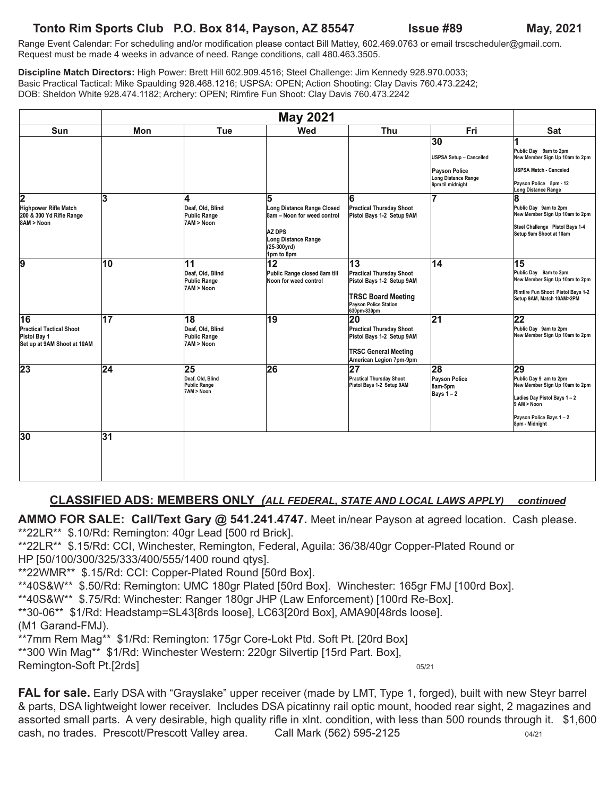#### **Tonto Rim Sports Club P.O. Box 814, Payson, AZ 85547 Issue #89 May, 2021**

Range Event Calendar: For scheduling and/or modification please contact Bill Mattey, 602.469.0763 or email trscscheduler@gmail.com. Request must be made 4 weeks in advance of need. Range conditions, call 480.463.3505.

**Discipline Match Directors:** High Power: Brett Hill 602.909.4516; Steel Challenge: Jim Kennedy 928.970.0033; Basic Practical Tactical: Mike Spaulding 928.468.1216; USPSA: OPEN; Action Shooting: Clay Davis 760.473.2242; DOB: Sheldon White 928.474.1182; Archery: OPEN; Rimfire Fun Shoot: Clay Davis 760.473.2242

|                                                                                      | <b>May 2021</b> |                                                             |                                                                                                                                 |                                                                                                                                                      |                                                                                                  |                                                                                                                                                         |
|--------------------------------------------------------------------------------------|-----------------|-------------------------------------------------------------|---------------------------------------------------------------------------------------------------------------------------------|------------------------------------------------------------------------------------------------------------------------------------------------------|--------------------------------------------------------------------------------------------------|---------------------------------------------------------------------------------------------------------------------------------------------------------|
| <b>Sun</b>                                                                           | Mon             | Tue                                                         | Wed                                                                                                                             | Thu                                                                                                                                                  | Fri                                                                                              | <b>Sat</b>                                                                                                                                              |
|                                                                                      |                 |                                                             |                                                                                                                                 |                                                                                                                                                      | 30<br><b>USPSA Setup - Cancelled</b><br>Payson Police<br>Long Distance Range<br>8pm til midnight | 1<br>Public Day 9am to 2pm<br>New Member Sign Up 10am to 2pm<br>USPSA Match - Canceled<br>Payson Police 8pm - 12<br>Long Distance Range                 |
| 2<br>Highpower Rifle Match<br>200 & 300 Yd Rifle Range<br>8AM > Noon                 | 3               | 4<br>Deaf, Old, Blind<br><b>Public Range</b><br>7AM > Noon  | 5<br>Long Distance Range Closed<br>8am - Noon for weed control<br>AZ DPS<br>Long Distance Range<br>$(25-300$ yrd)<br>1pm to 8pm | 6<br><b>Practical Thursday Shoot</b><br>Pistol Bays 1-2 Setup 9AM                                                                                    | 7                                                                                                | 8<br>Public Day 9am to 2pm<br>New Member Sign Up 10am to 2pm<br>Steel Challenge Pistol Bays 1-4<br>Setup 9am Shoot at 10am                              |
| 9                                                                                    | 10              | 11<br>Deaf, Old, Blind<br><b>Public Range</b><br>7AM > Noon | 12<br>Public Range closed 8am till<br>Noon for weed control                                                                     | $\overline{13}$<br><b>Practical Thursday Shoot</b><br>Pistol Bays 1-2 Setup 9AM<br><b>TRSC Board Meeting</b><br>Payson Police Station<br>630pm-830pm | $\overline{14}$                                                                                  | $\overline{15}$<br>Public Day 9am to 2pm<br>New Member Sign Up 10am to 2pm<br>Rimfire Fun Shoot Pistol Bays 1-2<br>Setup 9AM, Match 10AM>2PM            |
| 16<br><b>Practical Tactical Shoot</b><br>Pistol Bay 1<br>Set up at 9AM Shoot at 10AM | $\overline{17}$ | 18<br>Deaf, Old, Blind<br><b>Public Range</b><br>7AM > Noon | 19                                                                                                                              | 20<br><b>Practical Thursday Shoot</b><br>Pistol Bays 1-2 Setup 9AM<br><b>TRSC General Meeting</b><br>American Legion 7pm-9pm                         | $\overline{21}$                                                                                  | $\overline{22}$<br>Public Day 9am to 2pm<br>New Member Sign Up 10am to 2pm                                                                              |
| 23                                                                                   | 24              | 25<br>Deaf. Old. Blind<br><b>Public Range</b><br>7AM > Noon | 26                                                                                                                              | 27<br><b>Practical Thursday Shoot</b><br>Pistol Bays 1-2 Setup 9AM                                                                                   | 28<br>Payson Police<br>8am-5pm<br>Bays $1 - 2$                                                   | 29<br>Public Day 9 am to 2pm<br>New Member Sign Up 10am to 2pm<br>Ladies Day Pistol Bays 1-2<br>9 AM > Noon<br>Payson Police Bays 1-2<br>8pm - Midnight |
| 30                                                                                   | 31              |                                                             |                                                                                                                                 |                                                                                                                                                      |                                                                                                  |                                                                                                                                                         |

#### **CLASSIFIED ADS: MEMBERS ONLY** *(ALL FEDERAL, STATE AND LOCAL LAWS APPLY) continued*

**AMMO FOR SALE: Call/Text Gary @ 541.241.4747.** Meet in/near Payson at agreed location. Cash please. \*\*22LR\*\* \$.10/Rd: Remington: 40gr Lead [500 rd Brick].

\*\*22LR\*\* \$.15/Rd: CCI, Winchester, Remington, Federal, Aguila: 36/38/40gr Copper-Plated Round or HP [50/100/300/325/333/400/555/1400 round qtys].

\*\*22WMR\*\* \$.15/Rd: CCI: Copper-Plated Round [50rd Box].

\*\*40S&W\*\* \$.50/Rd: Remington: UMC 180gr Plated [50rd Box]. Winchester: 165gr FMJ [100rd Box].

\*\*40S&W\*\* \$.75/Rd: Winchester: Ranger 180gr JHP (Law Enforcement) [100rd Re-Box].

\*\*30-06\*\* \$1/Rd: Headstamp=SL43[8rds loose], LC63[20rd Box], AMA90[48rds loose].

(M1 Garand-FMJ).

\*\*7mm Rem Mag\*\* \$1/Rd: Remington: 175gr Core-Lokt Ptd. Soft Pt. [20rd Box]

\*\*300 Win Mag\*\* \$1/Rd: Winchester Western: 220gr Silvertip [15rd Part. Box], Remington-Soft Pt.[2rds] 05/21

FAL for sale. Early DSA with "Grayslake" upper receiver (made by LMT, Type 1, forged), built with new Steyr barrel & parts, DSA lightweight lower receiver. Includes DSA picatinny rail optic mount, hooded rear sight, 2 magazines and assorted small parts. A very desirable, high quality rifle in xlnt. condition, with less than 500 rounds through it. \$1,600 cash, no trades. Prescott/Prescott Valley area. Call Mark (562) 595-2125 04/21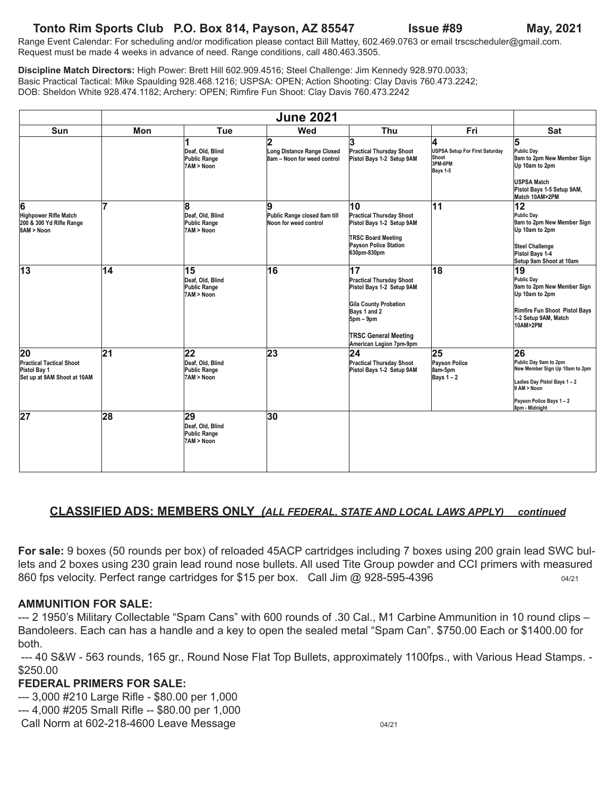#### **Tonto Rim Sports Club P.O. Box 814, Payson, AZ 85547 Issue #89 May, 2021**

Range Event Calendar: For scheduling and/or modification please contact Bill Mattey, 602.469.0763 or email trscscheduler@gmail.com. Request must be made 4 weeks in advance of need. Range conditions, call 480.463.3505.

**Discipline Match Directors:** High Power: Brett Hill 602.909.4516; Steel Challenge: Jim Kennedy 928.970.0033; Basic Practical Tactical: Mike Spaulding 928.468.1216; USPSA: OPEN; Action Shooting: Clay Davis 760.473.2242; DOB: Sheldon White 928.474.1182; Archery: OPEN; Rimfire Fun Shoot: Clay Davis 760.473.2242

|                                                                                      |     | <b>June 2021</b>                                            |                                                                |                                                                                                                                                                                      |                                                                            |                                                                                                                                                        |
|--------------------------------------------------------------------------------------|-----|-------------------------------------------------------------|----------------------------------------------------------------|--------------------------------------------------------------------------------------------------------------------------------------------------------------------------------------|----------------------------------------------------------------------------|--------------------------------------------------------------------------------------------------------------------------------------------------------|
| Sun                                                                                  | Mon | Tue                                                         | Wed                                                            | Thu                                                                                                                                                                                  | Fri                                                                        | <b>Sat</b>                                                                                                                                             |
|                                                                                      |     | Deaf, Old, Blind<br>Public Range<br>7AM > Noon              | 2<br>Long Distance Range Closed<br>8am - Noon for weed control | 3<br><b>Practical Thursday Shoot</b><br>Pistol Bays 1-2 Setup 9AM                                                                                                                    | A<br><b>USPSA Setup For First Saturday</b><br>Shoot<br>3PM-6PM<br>Bays 1-5 | 5<br>Public Day<br>9am to 2pm New Member Sign<br>Up 10am to 2pm<br>USPSA Match<br>Pistol Bays 1-5 Setup 9AM,<br>Match 10AM>2PM                         |
| 6<br>Highpower Rifle Match<br>200 & 300 Yd Rifle Range<br>8AM > Noon                 | 7   | 8<br>Deaf. Old. Blind<br><b>Public Range</b><br>7AM > Noon  | 9<br>Public Range closed 8am till<br>Noon for weed control     | 10<br><b>Practical Thursday Shoot</b><br>Pistol Bays 1-2 Setup 9AM<br><b>TRSC Board Meeting</b><br>Payson Police Station<br>630pm-830pm                                              | $\overline{11}$                                                            | 12<br>Public Day<br>9am to 2pm New Member Sign<br>Up 10am to 2pm<br><b>Steel Challenge</b><br>Pistol Bays 1-4<br>Setup 9am Shoot at 10am               |
| 13                                                                                   | 14  | 15<br>Deaf, Old, Blind<br>Public Range<br>7AM > Noon        | 16                                                             | 17<br><b>Practical Thursday Shoot</b><br>Pistol Bays 1-2 Setup 9AM<br>Gila County Probation<br>Bays 1 and 2<br>$5pm - 9pm$<br><b>TRSC General Meeting</b><br>American Legion 7pm-9pm | 18                                                                         | 19<br>Public Day<br>9am to 2pm New Member Sign<br>Up 10am to 2pm<br>Rimfire Fun Shoot Pistol Bays<br>1-2 Setup 9AM, Match<br>10AM>2PM                  |
| 20<br><b>Practical Tactical Shoot</b><br>Pistol Bay 1<br>Set up at 9AM Shoot at 10AM | 21  | 22<br>Deaf, Old, Blind<br><b>Public Range</b><br>7AM > Noon | 23                                                             | $ 24\rangle$<br><b>Practical Thursday Shoot</b><br>Pistol Bays 1-2 Setup 9AM                                                                                                         | 25<br>Payson Police<br>8am-5pm<br>Bays $1 - 2$                             | 26<br>Public Day 9am to 2pm<br>New Member Sign Up 10am to 2pm<br>Ladies Day Pistol Bays 1-2<br>9 AM > Noon<br>Payson Police Bays 1-2<br>8pm - Midnight |
| $\overline{27}$                                                                      | 28  | 29<br>Deaf, Old, Blind<br><b>Public Range</b><br>7AM > Noon | $\overline{30}$                                                |                                                                                                                                                                                      |                                                                            |                                                                                                                                                        |

#### **CLASSIFIED ADS: MEMBERS ONLY** *(ALL FEDERAL, STATE AND LOCAL LAWS APPLY) continued*

**For sale:** 9 boxes (50 rounds per box) of reloaded 45ACP cartridges including 7 boxes using 200 grain lead SWC bullets and 2 boxes using 230 grain lead round nose bullets. All used Tite Group powder and CCI primers with measured 860 fps velocity. Perfect range cartridges for \$15 per box. Call Jim @ 928-595-4396

#### **AMMUNITION FOR SALE:**

--- 2 1950's Military Collectable "Spam Cans" with 600 rounds of .30 Cal., M1 Carbine Ammunition in 10 round clips – Bandoleers. Each can has a handle and a key to open the sealed metal "Spam Can". \$750.00 Each or \$1400.00 for both.

--- 40 S&W - 563 rounds, 165 gr., Round Nose Flat Top Bullets, approximately 1100fps., with Various Head Stamps. - \$250.00

#### **FEDERAL PRIMERS FOR SALE:**

- --- 3,000 #210 Large Rifle \$80.00 per 1,000
- --- 4,000 #205 Small Rifle -- \$80.00 per 1,000
- Call Norm at  $602-218-4600$  Leave Message  $04/21$